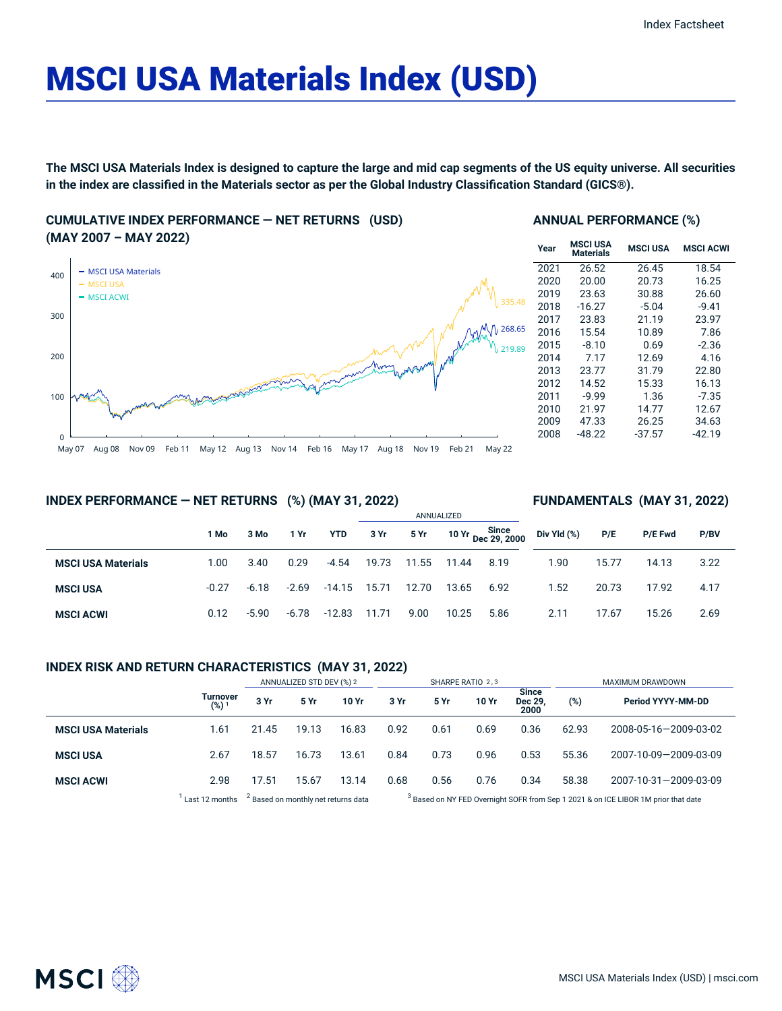# MSCI USA Materials Index (USD)

The MSCI USA Materials Index is designed to capture the large and mid cap segments of the US equity universe. All securities in the index are classified in the Materials sector as per the Global Industry Classification Standard (GICS®).

**CUMULATIVE INDEX PERFORMANCE — NET RETURNS (USD) (MAY 2007 – MAY 2022)**



#### **ANNUAL PERFORMANCE (%)**

| Year | <b>MSCI USA</b><br>Materials | <b>MSCI USA</b> | <b>MSCI ACWI</b> |
|------|------------------------------|-----------------|------------------|
| 2021 | 26.52                        | 26.45           | 18.54            |
| 2020 | 20.00                        | 20.73           | 16.25            |
| 2019 | 23.63                        | 30.88           | 26.60            |
| 2018 | $-16.27$                     | $-5.04$         | $-9.41$          |
| 2017 | 23.83                        | 21.19           | 23.97            |
| 2016 | 15.54                        | 10.89           | 7.86             |
| 2015 | $-8.10$                      | 0.69            | $-2.36$          |
| 2014 | 7.17                         | 12.69           | 4.16             |
| 2013 | 23.77                        | 31.79           | 22.80            |
| 2012 | 14.52                        | 15.33           | 16.13            |
| 2011 | $-9.99$                      | 1.36            | $-7.35$          |
| 2010 | 21.97                        | 14.77           | 12.67            |
| 2009 | 47.33                        | 26.25           | 34.63            |
| 2008 | -48.22                       | $-37.57$        | -42.19           |

**FUNDAMENTALS (MAY 31, 2022)**

# **INDEX PERFORMANCE — NET RETURNS (%) (MAY 31, 2022)**

#### ANNUALIZED **1 Mo 3 Mo 1 Yr YTD 3 Yr 5 Yr 10 Yr Since Dec 29, 2000 MSCI USA Materials** 1.00 3.40 0.29 -4.54 19.73 11.55 11.44 8.19 **MSCI USA** -0.27 -6.18 -2.69 -14.15 15.71 12.70 13.65 6.92 **MSCI ACWI** 0.12 -5.90 -6.78 -12.83 11.71 9.00 10.25 5.86 **Div Yld (%) P/E P/E Fwd P/BV** 1.90 15.77 14.13 3.22 1.52 20.73 17.92 4.17 2.11 17.67 15.26 2.69

# **INDEX RISK AND RETURN CHARACTERISTICS (MAY 31, 2022)**

|                           |                     | ANNUALIZED STD DEV (%) 2                       |       | SHARPE RATIO 2,3 |      |                                                                                               |       | MAXIMUM DRAWDOWN                |       |                       |
|---------------------------|---------------------|------------------------------------------------|-------|------------------|------|-----------------------------------------------------------------------------------------------|-------|---------------------------------|-------|-----------------------|
|                           | Turnover<br>$(%)^1$ | 3 Yr                                           | 5 Yr  | 10 Yr            | 3 Yr | 5 Yr                                                                                          | 10 Yr | <b>Since</b><br>Dec 29.<br>2000 | (%)   | Period YYYY-MM-DD     |
| <b>MSCI USA Materials</b> | 1.61                | 21.45                                          | 19.13 | 16.83            | 0.92 | 0.61                                                                                          | 0.69  | 0.36                            | 62.93 | 2008-05-16-2009-03-02 |
| <b>MSCI USA</b>           | 2.67                | 18.57                                          | 16.73 | 13.61            | 0.84 | 0.73                                                                                          | 0.96  | 0.53                            | 55.36 | 2007-10-09-2009-03-09 |
| <b>MSCI ACWI</b>          | 2.98                | 17.51                                          | 15.67 | 13.14            | 0.68 | 0.56                                                                                          | 0.76  | 0.34                            | 58.38 | 2007-10-31-2009-03-09 |
|                           | Last 12 months      | <sup>2</sup> Based on monthly net returns data |       |                  |      | <sup>3</sup> Based on NY FED Overnight SOFR from Sep 1 2021 & on ICE LIBOR 1M prior that date |       |                                 |       |                       |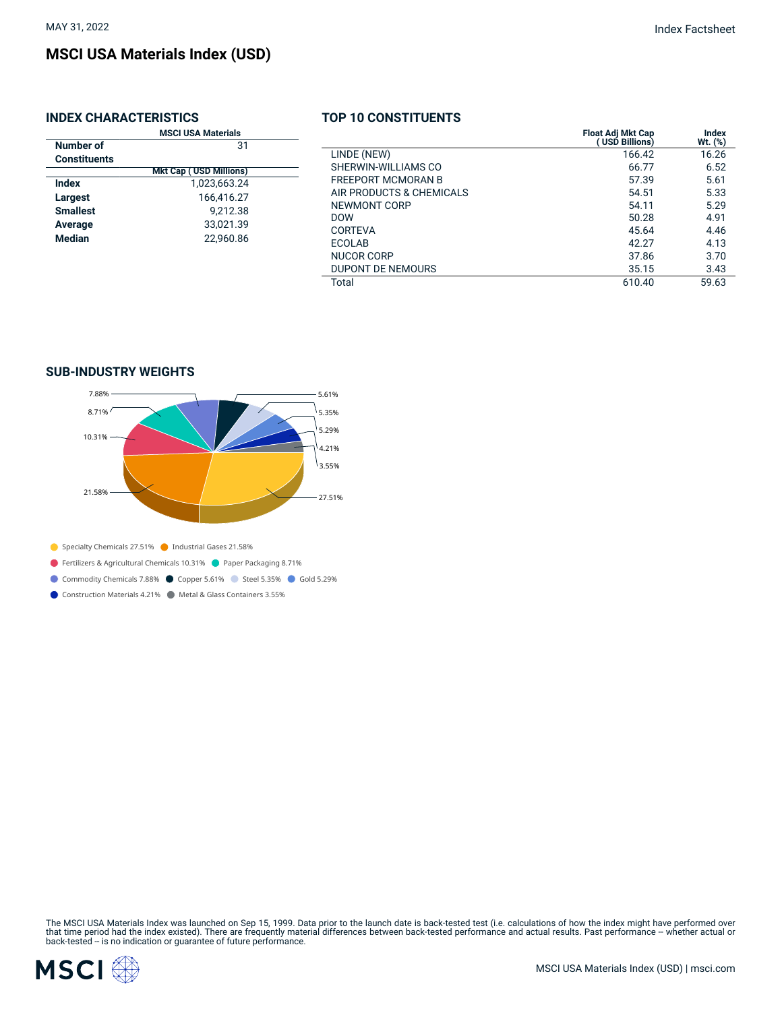# **MSCI USA Materials Index (USD)**

# **INDEX CHARACTERISTICS**

|                     | <b>MSCI USA Materials</b>     |  |  |
|---------------------|-------------------------------|--|--|
| Number of           | 31                            |  |  |
| <b>Constituents</b> |                               |  |  |
|                     | <b>Mkt Cap (USD Millions)</b> |  |  |
| Index               | 1,023,663.24                  |  |  |
| Largest             | 166,416.27                    |  |  |
| <b>Smallest</b>     | 9.212.38                      |  |  |
| Average             | 33,021.39                     |  |  |
| Median              | 22.960.86                     |  |  |

# **TOP 10 CONSTITUENTS**

|                           | <b>Float Adj Mkt Cap</b><br>USD Billions) | Index<br>$Wt.$ $(\%)$ |
|---------------------------|-------------------------------------------|-----------------------|
| LINDE (NEW)               | 166.42                                    | 16.26                 |
| SHERWIN-WILLIAMS CO       | 66.77                                     | 6.52                  |
| <b>FREEPORT MCMORAN B</b> | 57.39                                     | 5.61                  |
| AIR PRODUCTS & CHEMICALS  | 54.51                                     | 5.33                  |
| NEWMONT CORP              | 54.11                                     | 5.29                  |
| <b>DOW</b>                | 50.28                                     | 4.91                  |
| CORTEVA                   | 45.64                                     | 4.46                  |
| ECOLAB                    | 42.27                                     | 4.13                  |
| NUCOR CORP                | 37.86                                     | 3.70                  |
| <b>DUPONT DE NEMOURS</b>  | 35.15                                     | 3.43                  |
| Total                     | 610.40                                    | 59.63                 |

# **SUB-INDUSTRY WEIGHTS**



Specialty Chemicals 27.51% Industrial Gases 21.58%

Fertilizers & Agricultural Chemicals 10.31% Paper Packaging 8.71%

Commodity Chemicals 7.88% Copper 5.61% Steel 5.35% Gold 5.29%

Construction Materials 4.21% Metal & Glass Containers 3.55%

The MSCI USA Materials Index was launched on Sep 15, 1999. Data prior to the launch date is back-tested test (i.e. calculations of how the index might have performed over<br>that time period had the index existed). There are